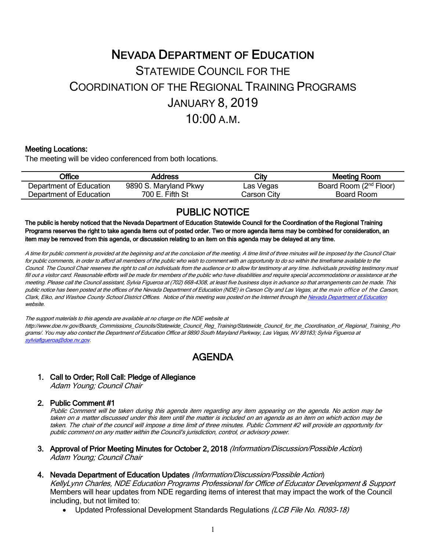# NEVADA DEPARTMENT OF EDUCATION STATEWIDE COUNCIL FOR THE COORDINATION OF THE REGIONAL TRAINING PROGRAMS JANUARY 8, 2019 10:00 A.M.

#### Meeting Locations:

The meeting will be video conferenced from both locations.

| Office                  | Address               | City        | Meeting Room                       |
|-------------------------|-----------------------|-------------|------------------------------------|
| Department of Education | 9890 S. Maryland Pkwy | Las Vegas   | Board Room (2 <sup>nd</sup> Floor) |
| Department of Education | 700 E. Fifth St       | Carson City | Board Room                         |

PUBLIC NOTICE<br>The public is hereby noticed that the Nevada Department of Education Statewide Council for the Coordination of the Regional Training Programs reserves the right to take agenda items out of posted order. Two or more agenda items may be combined for consideration, an item may be removed from this agenda, or discussion relating to an item on this agenda may be delayed at any time.

A time for public comment is provided at the beginning and at the conclusion of the meeting. A time limit of three minutes will be imposed by the Council Chair for public comments, in order to afford all members of the public who wish to comment with an opportunity to do so within the timeframe available to the Council. The Council Chair reserves the right to call on individuals from the audience or to allow for testimony at any time. Individuals providing testimony must fill out <sup>a</sup> visitor card. Reasonable efforts will be made for members of the public who have disabilities and require special accommodations or assistance at the meeting. Please call the Council assistant, Sylvia Figueroa at (702) 668-4308, at least five business days in advance so that arrangements can be made. This public notice has been posted at the offices of the Nevada Department of Education (NDE) in Carson City and Las Vegas, at the main office of the Carson, Clark, Elko, and Washoe County School District Offices. Notice of this meeting was posted on the Internet through th[e Nevada Department of Education](http://www.doe.nv.gov/)  website.

The support materials to this agenda are available at no charge on the NDE website at

http://www.doe.nv.gov/Boards\_Commissions\_Councils/Statewide\_Council\_Reg\_Training/Statewide\_Council\_for\_the\_Coordination\_of\_Regional\_Training\_Pro grams/. You may also contact the Department of Education Office at 9890 South Maryland Parkway, Las Vegas, NV 89183; Sylvia Figueroa at [sylviafigueroa@doe.nv.gov.](mailto:sylviafigueroa@doe.nv.gov) 

## AGENDA

### 1. Call to Order; Roll Call: Pledge of Allegiance

Adam Young; Council Chair

#### 2. Public Comment #1

Public Comment will be taken during this agenda item regarding any item appearing on the agenda. No action may be taken on a matter discussed under this item until the matter is included on an agenda as an item on which action may be taken. The chair of the council will impose <sup>a</sup> time limit of three minutes. Public Comment #2 will provide an opportunity for public comment on any matter within the Council's jurisdiction, control, or advisory power.

- 3. Approval of Prior Meeting Minutes for October 2, 2018 (Information/Discussion/Possible Action) Adam Young; Council Chair
- 4. Nevada Department of Education Updates (Information/Discussion/Possible Action)

KellyLynn Charles, NDE Education Programs Professional for Office of Educator Development & Support Members will hear updates from NDE regarding items of interest that may impact the work of the Council including, but not limited to:

• Updated Professional Development Standards Regulations (LCB File No. R093-18)